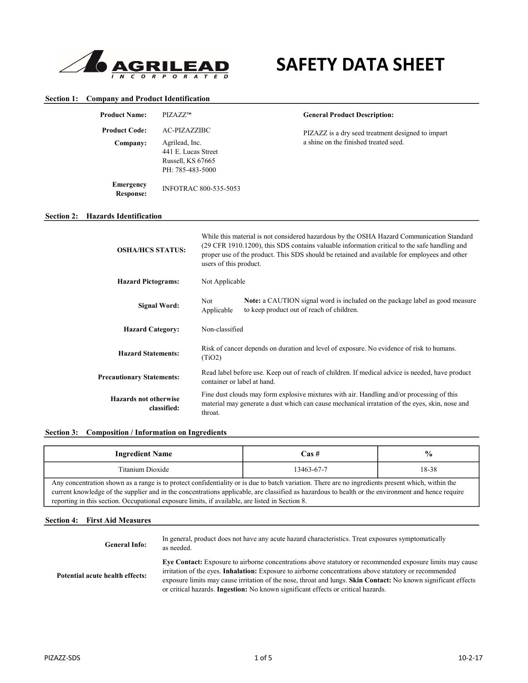

# SAFETY DATA SHEET

# Section 1: Company and Product Identification

|                   | <b>Product Name:</b>          | PIZAZZ™             |                              | <b>General Product Description:</b>                                                                                                                                                                                                                                                       |
|-------------------|-------------------------------|---------------------|------------------------------|-------------------------------------------------------------------------------------------------------------------------------------------------------------------------------------------------------------------------------------------------------------------------------------------|
|                   | <b>Product Code:</b>          | AC-PIZAZZIBC        |                              | PIZAZZ is a dry seed treatment designed to impart                                                                                                                                                                                                                                         |
|                   | Company:                      | Agrilead, Inc.      |                              | a shine on the finished treated seed.                                                                                                                                                                                                                                                     |
|                   |                               | 441 E. Lucas Street |                              |                                                                                                                                                                                                                                                                                           |
|                   |                               | Russell, KS 67665   |                              |                                                                                                                                                                                                                                                                                           |
|                   |                               | PH: 785-483-5000    |                              |                                                                                                                                                                                                                                                                                           |
|                   | <b>Emergency</b><br>Response: |                     | <b>INFOTRAC 800-535-5053</b> |                                                                                                                                                                                                                                                                                           |
| <b>Section 2:</b> | <b>Hazards Identification</b> |                     |                              |                                                                                                                                                                                                                                                                                           |
|                   | <b>OSHA/HCS STATUS:</b>       |                     | users of this product.       | While this material is not considered hazardous by the OSHA Hazard Communication Standard<br>(29 CFR 1910.1200), this SDS contains valuable information critical to the safe handling and<br>proper use of the product. This SDS should be retained and available for employees and other |

| <b>Hazard Pictograms:</b>                   | Not Applicable              |                                                                                                                                                                                             |
|---------------------------------------------|-----------------------------|---------------------------------------------------------------------------------------------------------------------------------------------------------------------------------------------|
| Signal Word:                                | <b>Not</b><br>Applicable    | <b>Note:</b> a CAUTION signal word is included on the package label as good measure<br>to keep product out of reach of children.                                                            |
| <b>Hazard Category:</b>                     | Non-classified              |                                                                                                                                                                                             |
| <b>Hazard Statements:</b>                   | (TiO2)                      | Risk of cancer depends on duration and level of exposure. No evidence of risk to humans.                                                                                                    |
| <b>Precautionary Statements:</b>            | container or label at hand. | Read label before use. Keep out of reach of children. If medical advice is needed, have product                                                                                             |
| <b>Hazards not otherwise</b><br>classified: | throat.                     | Fine dust clouds may form explosive mixtures with air. Handling and/or processing of this<br>material may generate a dust which can cause mechanical irratation of the eyes, skin, nose and |

|  | Section 3: Composition / Information on Ingredients |
|--|-----------------------------------------------------|
|  |                                                     |

| <b>Ingredient Name</b>                                                                                                                                                                                                                                                                                                                                                                                     | Cas #      | $\frac{6}{9}$ |
|------------------------------------------------------------------------------------------------------------------------------------------------------------------------------------------------------------------------------------------------------------------------------------------------------------------------------------------------------------------------------------------------------------|------------|---------------|
| Titanium Dioxide                                                                                                                                                                                                                                                                                                                                                                                           | 13463-67-7 | 18-38         |
| Any concentration shown as a range is to protect confidentiality or is due to batch variation. There are no ingredients present which, within the<br>current knowledge of the supplier and in the concentrations applicable, are classified as hazardous to health or the environment and hence require<br>reporting in this section. Occupational exposure limits, if available, are listed in Section 8. |            |               |

# Section 4: First Aid Measures

| <b>General Info:</b>            | In general, product does not have any acute hazard characteristics. Treat exposures symptomatically<br>as needed.                                                                                                                                                                                                                                                                                                                 |
|---------------------------------|-----------------------------------------------------------------------------------------------------------------------------------------------------------------------------------------------------------------------------------------------------------------------------------------------------------------------------------------------------------------------------------------------------------------------------------|
| Potential acute health effects: | Eye Contact: Exposure to airborne concentrations above statutory or recommended exposure limits may cause<br>irritation of the eyes. <b>Inhalation:</b> Exposure to airborne concentrations above statutory or recommended<br>exposure limits may cause irritation of the nose, throat and lungs. Skin Contact: No known significant effects<br>or critical hazards. Ingestion: No known significant effects or critical hazards. |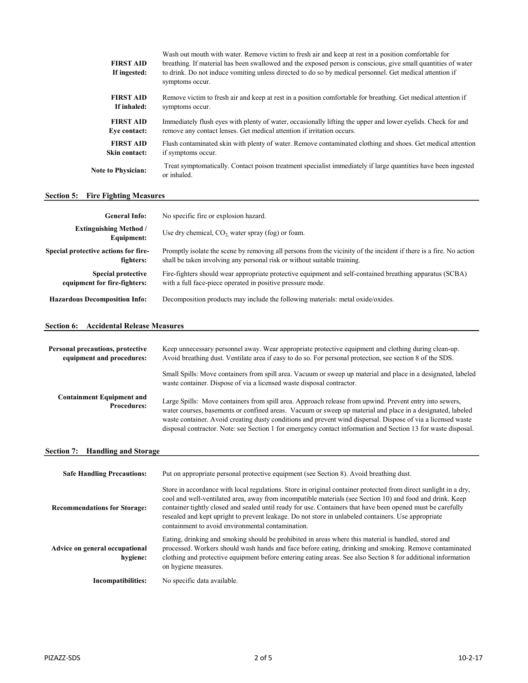| <b>FIRST AID</b><br>If ingested: | Wash out mouth with water. Remove victim to fresh air and keep at rest in a position comfortable for<br>breathing. If material has been swallowed and the exposed person is conscious, give small quantities of water<br>to drink. Do not induce vomiting unless directed to do so by medical personnel. Get medical attention if<br>symptoms occur. |
|----------------------------------|------------------------------------------------------------------------------------------------------------------------------------------------------------------------------------------------------------------------------------------------------------------------------------------------------------------------------------------------------|
| <b>FIRST AID</b>                 | Remove victim to fresh air and keep at rest in a position comfortable for breathing. Get medical attention if                                                                                                                                                                                                                                        |
| If inhaled:                      | symptoms occur.                                                                                                                                                                                                                                                                                                                                      |
| <b>FIRST AID</b>                 | Immediately flush eyes with plenty of water, occasionally lifting the upper and lower eyelids. Check for and                                                                                                                                                                                                                                         |
| Eve contact:                     | remove any contact lenses. Get medical attention if irritation occurs.                                                                                                                                                                                                                                                                               |
| <b>FIRST AID</b>                 | Flush contaminated skin with plenty of water. Remove contaminated clothing and shoes. Get medical attention                                                                                                                                                                                                                                          |
| Skin contact:                    | if symptoms occur.                                                                                                                                                                                                                                                                                                                                   |
| <b>Note to Physician:</b>        | Treat symptomatically. Contact poison treatment specialist immediately if large quantities have been ingested<br>or inhaled.                                                                                                                                                                                                                         |

# **Section 5: Fire Fighting Measures**

| <b>General Info:</b>                                      | No specific fire or explosion hazard.                                                                                                                                                          |
|-----------------------------------------------------------|------------------------------------------------------------------------------------------------------------------------------------------------------------------------------------------------|
| <b>Extinguishing Method</b> /<br>Equipment:               | Use dry chemical, $CO2$ water spray (fog) or foam.                                                                                                                                             |
| Special protective actions for fire-<br>fighters:         | Promptly isolate the scene by removing all persons from the vicinity of the incident if there is a fire. No action<br>shall be taken involving any personal risk or without suitable training. |
| <b>Special protective</b><br>equipment for fire-fighters: | Fire-fighters should wear appropriate protective equipment and self-contained breathing apparatus (SCBA)<br>with a full face-piece operated in positive pressure mode.                         |
| <b>Hazardous Decomposition Info:</b>                      | Decomposition products may include the following materials: metal oxide/oxides.                                                                                                                |

# Section 6: Accidental Release Measures

| Personal precautions, protective<br>equipment and procedures: | Keep unnecessary personnel away. Wear appropriate protective equipment and clothing during clean-up.<br>Avoid breathing dust. Ventilate area if easy to do so. For personal protection, see section 8 of the SDS.                                                                                                                                                                                                                                      |
|---------------------------------------------------------------|--------------------------------------------------------------------------------------------------------------------------------------------------------------------------------------------------------------------------------------------------------------------------------------------------------------------------------------------------------------------------------------------------------------------------------------------------------|
|                                                               | Small Spills: Move containers from spill area. Vacuum or sweep up material and place in a designated, labeled<br>waste container. Dispose of via a licensed waste disposal contractor.                                                                                                                                                                                                                                                                 |
| <b>Containment Equipment and</b><br><b>Procedures:</b>        | Large Spills: Move containers from spill area. Approach release from upwind. Prevent entry into sewers,<br>water courses, basements or confined areas. Vacuum or sweep up material and place in a designated, labeled<br>waste container. Avoid creating dusty conditions and prevent wind dispersal. Dispose of via a licensed waste<br>disposal contractor. Note: see Section 1 for emergency contact information and Section 13 for waste disposal. |

# Section 7: Handling and Storage

| <b>Safe Handling Precautions:</b>          | Put on appropriate personal protective equipment (see Section 8). Avoid breathing dust.                                                                                                                                                                                                                                                                                                                                                                                                                  |
|--------------------------------------------|----------------------------------------------------------------------------------------------------------------------------------------------------------------------------------------------------------------------------------------------------------------------------------------------------------------------------------------------------------------------------------------------------------------------------------------------------------------------------------------------------------|
| <b>Recommendations for Storage:</b>        | Store in accordance with local regulations. Store in original container protected from direct sunlight in a dry,<br>cool and well-ventilated area, away from incompatible materials (see Section 10) and food and drink. Keep<br>container tightly closed and sealed until ready for use. Containers that have been opened must be carefully<br>resealed and kept upright to prevent leakage. Do not store in unlabeled containers. Use appropriate<br>containment to avoid environmental contamination. |
| Advice on general occupational<br>hygiene: | Eating, drinking and smoking should be prohibited in areas where this material is handled, stored and<br>processed. Workers should wash hands and face before eating, drinking and smoking. Remove contaminated<br>clothing and protective equipment before entering eating areas. See also Section 8 for additional information<br>on hygiene measures.                                                                                                                                                 |
| Incompatibilities:                         | No specific data available.                                                                                                                                                                                                                                                                                                                                                                                                                                                                              |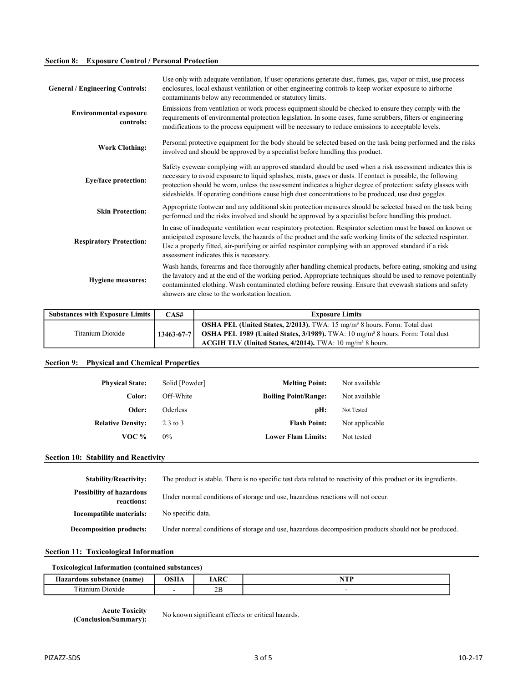# Section 8: Exposure Control / Personal Protection

| Use only with adequate ventilation. If user operations generate dust, fumes, gas, vapor or mist, use process<br>enclosures, local exhaust ventilation or other engineering controls to keep worker exposure to airborne<br>contaminants below any recommended or statutory limits.                                                                                                                                                                   |
|------------------------------------------------------------------------------------------------------------------------------------------------------------------------------------------------------------------------------------------------------------------------------------------------------------------------------------------------------------------------------------------------------------------------------------------------------|
| Emissions from ventilation or work process equipment should be checked to ensure they comply with the<br>requirements of environmental protection legislation. In some cases, fume scrubbers, filters or engineering<br>modifications to the process equipment will be necessary to reduce emissions to acceptable levels.                                                                                                                           |
| Personal protective equipment for the body should be selected based on the task being performed and the risks<br>involved and should be approved by a specialist before handling this product.                                                                                                                                                                                                                                                       |
| Safety eyewear complying with an approved standard should be used when a risk assessment indicates this is<br>necessary to avoid exposure to liquid splashes, mists, gases or dusts. If contact is possible, the following<br>protection should be worn, unless the assessment indicates a higher degree of protection: safety glasses with<br>sideshields. If operating conditions cause high dust concentrations to be produced, use dust goggles. |
| Appropriate footwear and any additional skin protection measures should be selected based on the task being<br>performed and the risks involved and should be approved by a specialist before handling this product.                                                                                                                                                                                                                                 |
| In case of inadequate ventilation wear respiratory protection. Respirator selection must be based on known or<br>anticipated exposure levels, the hazards of the product and the safe working limits of the selected respirator.<br>Use a properly fitted, air-purifying or airfed respirator complying with an approved standard if a risk<br>assessment indicates this is necessary.                                                               |
| Wash hands, forearms and face thoroughly after handling chemical products, before eating, smoking and using<br>the lavatory and at the end of the working period. Appropriate techniques should be used to remove potentially<br>contaminated clothing. Wash contaminated clothing before reusing. Ensure that eyewash stations and safety<br>showers are close to the workstation location.                                                         |
|                                                                                                                                                                                                                                                                                                                                                                                                                                                      |

| <b>Substances with Exposure Limits</b> | CAS#             | <b>Exposure Limits</b>                                                                           |
|----------------------------------------|------------------|--------------------------------------------------------------------------------------------------|
|                                        |                  | <b>OSHA PEL (United States, 2/2013).</b> TWA: 15 mg/m <sup>3</sup> 8 hours. Form: Total dust     |
| Titanium Dioxide                       | $13463 - 67 - 7$ | <b>OSHA PEL 1989 (United States, 3/1989).</b> TWA: $10 \text{ mg/m}^3$ 8 hours. Form: Total dust |
|                                        |                  | ACGIH TLV (United States, $4/2014$ ). TWA: 10 mg/m <sup>3</sup> 8 hours.                         |

# Section 9: Physical and Chemical Properties

| <b>Physical State:</b><br>Color: | Solid [Powder]<br>Off-White | <b>Melting Point:</b><br><b>Boiling Point/Range:</b> | Not available<br>Not available |
|----------------------------------|-----------------------------|------------------------------------------------------|--------------------------------|
| Oder:                            | <b>Oderless</b>             | pH:                                                  | Not Tested                     |
| <b>Relative Density:</b>         | $2.3$ to $3$                | <b>Flash Point:</b>                                  | Not applicable                 |
| VOC $%$                          | $0\%$                       | <b>Lower Flam Limits:</b>                            | Not tested                     |

# **Section 10: Stability and Reactivity**

| <b>Stability/Reactivity:</b>                  | The product is stable. There is no specific test data related to reactivity of this product or its ingredients. |
|-----------------------------------------------|-----------------------------------------------------------------------------------------------------------------|
| <b>Possibility of hazardous</b><br>reactions: | Under normal conditions of storage and use, hazardous reactions will not occur.                                 |
| Incompatible materials:                       | No specific data.                                                                                               |
| <b>Decomposition products:</b>                | Under normal conditions of storage and use, hazardous decomposition products should not be produced.            |

# Section 11: Toxicological Information

| $-$<br>(name<br>070<br><b>CILE</b><br>stance<br>40V<br>. 47.a - | ---<br>____ | ۱D٢<br>1/MA        | $-$<br>the contract of the contract of the contract of |
|-----------------------------------------------------------------|-------------|--------------------|--------------------------------------------------------|
| m.<br>ាអារា<br>J10X1de<br>1ta                                   |             | $\mathbf{r}$<br>∠ມ |                                                        |

Acute Toxicity

(Conclusion/Summary): No known significant effects or critical hazards.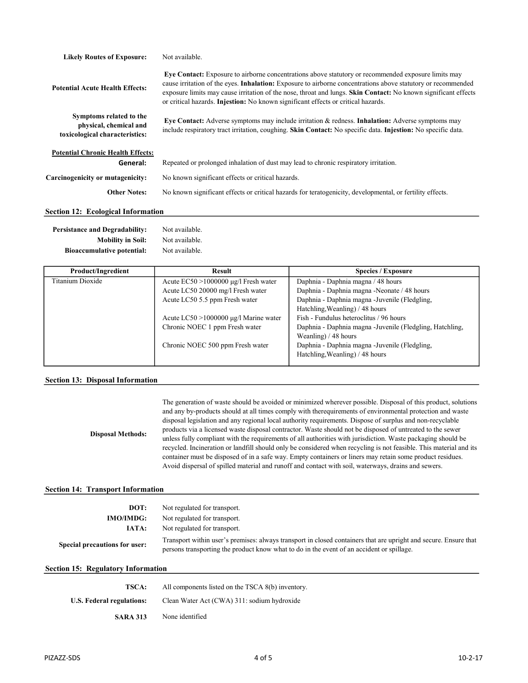| <b>Likely Routes of Exposure:</b>                                                   | Not available.                                                                                                                                                                                                                                                                                                                                                                                                                           |
|-------------------------------------------------------------------------------------|------------------------------------------------------------------------------------------------------------------------------------------------------------------------------------------------------------------------------------------------------------------------------------------------------------------------------------------------------------------------------------------------------------------------------------------|
| <b>Potential Acute Health Effects:</b>                                              | Eve Contact: Exposure to airborne concentrations above statutory or recommended exposure limits may<br>cause irritation of the eyes. <b>Inhalation:</b> Exposure to airborne concentrations above statutory or recommended<br>exposure limits may cause irritation of the nose, throat and lungs. Skin Contact: No known significant effects<br>or critical hazards. <b>Injestion:</b> No known significant effects or critical hazards. |
| Symptoms related to the<br>physical, chemical and<br>toxicological characteristics: | Eye Contact: Adverse symptoms may include irritation & redness. Inhalation: Adverse symptoms may<br>include respiratory tract irritation, coughing. Skin Contact: No specific data. Injestion: No specific data.                                                                                                                                                                                                                         |
| <b>Potential Chronic Health Effects:</b>                                            |                                                                                                                                                                                                                                                                                                                                                                                                                                          |
| General:                                                                            | Repeated or prolonged inhalation of dust may lead to chronic respiratory irritation.                                                                                                                                                                                                                                                                                                                                                     |
| Carcinogenicity or mutagenicity:                                                    | No known significant effects or critical hazards.                                                                                                                                                                                                                                                                                                                                                                                        |
| <b>Other Notes:</b>                                                                 | No known significant effects or critical hazards for teratogenicity, developmental, or fertility effects.                                                                                                                                                                                                                                                                                                                                |
| <b>Section 12: Ecological Information</b>                                           |                                                                                                                                                                                                                                                                                                                                                                                                                                          |

# Persistance and Degradability: Not available.

| <b>Mobility in Soil:</b>          | Not available. |
|-----------------------------------|----------------|
| <b>Bioaccumulative potential:</b> | Not available. |

| <b>Product/Ingredient</b> | <b>Result</b>                               | <b>Species / Exposure</b>                                 |
|---------------------------|---------------------------------------------|-----------------------------------------------------------|
| Titanium Dioxide          | Acute $EC50 > 1000000 \mu g/l$ Fresh water  | Daphnia - Daphnia magna / 48 hours                        |
|                           | Acute LC50 20000 mg/l Fresh water           | Daphnia - Daphnia magna - Neonate / 48 hours              |
|                           | Acute LC50 5.5 ppm Fresh water              | Daphnia - Daphnia magna - Juvenile (Fledgling,            |
|                           |                                             | Hatchling, Weanling) / 48 hours                           |
|                           | Acute $LC50 > 1000000 \mu g/l$ Marine water | Fish - Fundulus heteroclitus / 96 hours                   |
|                           | Chronic NOEC 1 ppm Fresh water              | Daphnia - Daphnia magna - Juvenile (Fledgling, Hatchling, |
|                           |                                             | Weanling) $/48$ hours                                     |
|                           | Chronic NOEC 500 ppm Fresh water            | Daphnia - Daphnia magna - Juvenile (Fledgling,            |
|                           |                                             | Hatchling, Weanling) / 48 hours                           |
|                           |                                             |                                                           |

#### Section 13: Disposal Information

Disposal Methods: The generation of waste should be avoided or minimized wherever possible. Disposal of this product, solutions and any by-products should at all times comply with therequirements of environmental protection and waste disposal legislation and any regional local authority requirements. Dispose of surplus and non-recyclable products via a licensed waste disposal contractor. Waste should not be disposed of untreated to the sewer unless fully compliant with the requirements of all authorities with jurisdiction. Waste packaging should be recycled. Incineration or landfill should only be considered when recycling is not feasible. This material and its container must be disposed of in a safe way. Empty containers or liners may retain some product residues. Avoid dispersal of spilled material and runoff and contact with soil, waterways, drains and sewers.

#### Section 14: Transport Information

| DOT:<br><b>IMO/IMDG:</b>      | Not regulated for transport.<br>Not regulated for transport.                                                                                                                                                  |
|-------------------------------|---------------------------------------------------------------------------------------------------------------------------------------------------------------------------------------------------------------|
| IATA:                         | Not regulated for transport.                                                                                                                                                                                  |
| Special precautions for user: | Transport within user's premises: always transport in closed containers that are upright and secure. Ensure that<br>persons transporting the product know what to do in the event of an accident or spillage. |

#### Section 15: Regulatory Information

| TSCA:                     | All components listed on the TSCA 8(b) inventory. |  |
|---------------------------|---------------------------------------------------|--|
| U.S. Federal regulations: | Clean Water Act (CWA) 311: sodium hydroxide       |  |
| <b>SARA 313</b>           | None identified                                   |  |